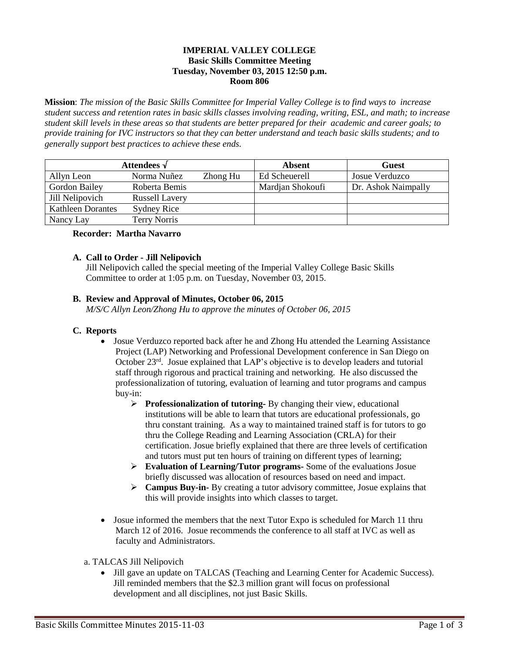## **IMPERIAL VALLEY COLLEGE Basic Skills Committee Meeting Tuesday, November 03, 2015 12:50 p.m. Room 806**

**Mission**: *The mission of the Basic Skills Committee for Imperial Valley College is to find ways to increase student success and retention rates in basic skills classes involving reading, writing, ESL, and math; to increase student skill levels in these areas so that students are better prepared for their academic and career goals; to provide training for IVC instructors so that they can better understand and teach basic skills students; and to generally support best practices to achieve these ends.*

| Attendees $\sqrt$        |                       |          | <b>Absent</b>    | <b>Guest</b>        |
|--------------------------|-----------------------|----------|------------------|---------------------|
| Allyn Leon               | Norma Nuñez           | Zhong Hu | Ed Scheuerell    | Josue Verduzco      |
| <b>Gordon Bailey</b>     | Roberta Bemis         |          | Mardian Shokoufi | Dr. Ashok Naimpally |
| Jill Nelipovich          | <b>Russell Lavery</b> |          |                  |                     |
| <b>Kathleen Dorantes</b> | Sydney Rice           |          |                  |                     |
| Nancy Lay                | Terry Norris          |          |                  |                     |

## **Recorder: Martha Navarro**

## **A. Call to Order - Jill Nelipovich**

Jill Nelipovich called the special meeting of the Imperial Valley College Basic Skills Committee to order at 1:05 p.m. on Tuesday, November 03, 2015.

## **B. Review and Approval of Minutes, October 06, 2015**

*M/S/C Allyn Leon/Zhong Hu to approve the minutes of October 06, 2015*

#### **C. Reports**

- Josue Verduzco reported back after he and Zhong Hu attended the Learning Assistance Project (LAP) Networking and Professional Development conference in San Diego on October 23<sup>rd</sup>. Josue explained that LAP's objective is to develop leaders and tutorial staff through rigorous and practical training and networking. He also discussed the professionalization of tutoring, evaluation of learning and tutor programs and campus buy-in:
	- **Professionalization of tutoring-** By changing their view, educational institutions will be able to learn that tutors are educational professionals, go thru constant training. As a way to maintained trained staff is for tutors to go thru the College Reading and Learning Association (CRLA) for their certification. Josue briefly explained that there are three levels of certification and tutors must put ten hours of training on different types of learning;
	- **Evaluation of Learning/Tutor programs-** Some of the evaluations Josue briefly discussed was allocation of resources based on need and impact.
	- **Campus Buy-in-** By creating a tutor advisory committee, Josue explains that this will provide insights into which classes to target.
- Josue informed the members that the next Tutor Expo is scheduled for March 11 thru March 12 of 2016. Josue recommends the conference to all staff at IVC as well as faculty and Administrators.
- a. TALCAS Jill Nelipovich
	- Jill gave an update on TALCAS (Teaching and Learning Center for Academic Success). Jill reminded members that the \$2.3 million grant will focus on professional development and all disciplines, not just Basic Skills.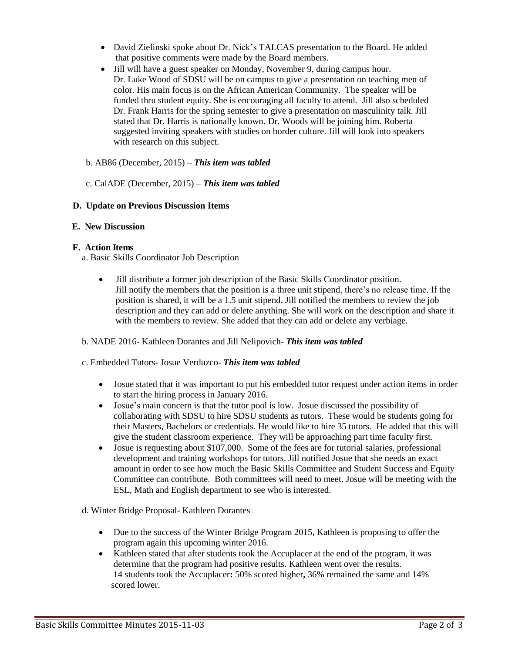- David Zielinski spoke about Dr. Nick's TALCAS presentation to the Board. He added that positive comments were made by the Board members.
- Jill will have a guest speaker on Monday, November 9, during campus hour. Dr. Luke Wood of SDSU will be on campus to give a presentation on teaching men of color. His main focus is on the African American Community. The speaker will be funded thru student equity. She is encouraging all faculty to attend. Jill also scheduled Dr. Frank Harris for the spring semester to give a presentation on masculinity talk. Jill stated that Dr. Harris is nationally known. Dr. Woods will be joining him. Roberta suggested inviting speakers with studies on border culture. Jill will look into speakers with research on this subject.
- b. AB86 (December, 2015) *This item was tabled*
- c. CalADE (December, 2015) *This item was tabled*

# **D. Update on Previous Discussion Items**

## **E. New Discussion**

## **F. Action Items**

a. Basic Skills Coordinator Job Description

 Jill distribute a former job description of the Basic Skills Coordinator position. Jill notify the members that the position is a three unit stipend, there's no release time. If the position is shared, it will be a 1.5 unit stipend. Jill notified the members to review the job description and they can add or delete anything. She will work on the description and share it with the members to review. She added that they can add or delete any verbiage.

# b. NADE 2016- Kathleen Dorantes and Jill Nelipovich- *This item was tabled*

#### c. Embedded Tutors- Josue Verduzco- *This item was tabled*

- Josue stated that it was important to put his embedded tutor request under action items in order to start the hiring process in January 2016.
- Josue's main concern is that the tutor pool is low. Josue discussed the possibility of collaborating with SDSU to hire SDSU students as tutors. These would be students going for their Masters, Bachelors or credentials. He would like to hire 35 tutors. He added that this will give the student classroom experience. They will be approaching part time faculty first.
- Josue is requesting about \$107,000. Some of the fees are for tutorial salaries, professional development and training workshops for tutors. Jill notified Josue that she needs an exact amount in order to see how much the Basic Skills Committee and Student Success and Equity Committee can contribute. Both committees will need to meet. Josue will be meeting with the ESL, Math and English department to see who is interested.
- d. Winter Bridge Proposal- Kathleen Dorantes
	- Due to the success of the Winter Bridge Program 2015, Kathleen is proposing to offer the program again this upcoming winter 2016.
	- Kathleen stated that after students took the Accuplacer at the end of the program, it was determine that the program had positive results. Kathleen went over the results. 14 students took the Accuplacer**:** 50% scored higher**,** 36% remained the same and 14% scored lower.